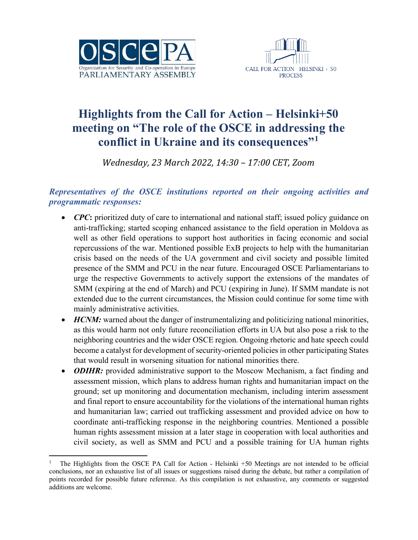



## **Highlights from the Call for Action – Helsinki+50 meeting on "The role of the OSCE in addressing the conflict in Ukraine and its consequences"[1](#page-0-0)**

*Wednesday, 23 March 2022, 14:30 – 17:00 CET, Zoom*

## *Representatives of the OSCE institutions reported on their ongoing activities and programmatic responses:*

- *CPC*: prioritized duty of care to international and national staff; issued policy guidance on anti-trafficking; started scoping enhanced assistance to the field operation in Moldova as well as other field operations to support host authorities in facing economic and social repercussions of the war. Mentioned possible ExB projects to help with the humanitarian crisis based on the needs of the UA government and civil society and possible limited presence of the SMM and PCU in the near future. Encouraged OSCE Parliamentarians to urge the respective Governments to actively support the extensions of the mandates of SMM (expiring at the end of March) and PCU (expiring in June). If SMM mandate is not extended due to the current circumstances, the Mission could continue for some time with mainly administrative activities.
- *HCNM*: warned about the danger of instrumentalizing and politicizing national minorities, as this would harm not only future reconciliation efforts in UA but also pose a risk to the neighboring countries and the wider OSCE region. Ongoing rhetoric and hate speech could become a catalyst for development of security-oriented policies in other participating States that would result in worsening situation for national minorities there.
- *ODIHR:* provided administrative support to the Moscow Mechanism, a fact finding and assessment mission, which plans to address human rights and humanitarian impact on the ground; set up monitoring and documentation mechanism, including interim assessment and final report to ensure accountability for the violations of the international human rights and humanitarian law; carried out trafficking assessment and provided advice on how to coordinate anti-trafficking response in the neighboring countries. Mentioned a possible human rights assessment mission at a later stage in cooperation with local authorities and civil society, as well as SMM and PCU and a possible training for UA human rights

<span id="page-0-0"></span><sup>1</sup> The Highlights from the OSCE PA Call for Action - Helsinki +50 Meetings are not intended to be official conclusions, nor an exhaustive list of all issues or suggestions raised during the debate, but rather a compilation of points recorded for possible future reference. As this compilation is not exhaustive, any comments or suggested additions are welcome.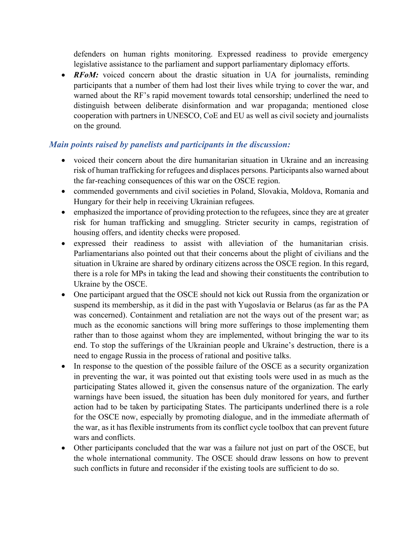defenders on human rights monitoring. Expressed readiness to provide emergency legislative assistance to the parliament and support parliamentary diplomacy efforts.

• *RFoM:* voiced concern about the drastic situation in UA for journalists, reminding participants that a number of them had lost their lives while trying to cover the war, and warned about the RF's rapid movement towards total censorship; underlined the need to distinguish between deliberate disinformation and war propaganda; mentioned close cooperation with partners in UNESCO, CoE and EU as well as civil society and journalists on the ground.

## *Main points raised by panelists and participants in the discussion:*

- voiced their concern about the dire humanitarian situation in Ukraine and an increasing risk of human trafficking for refugees and displaces persons. Participants also warned about the far-reaching consequences of this war on the OSCE region.
- commended governments and civil societies in Poland, Slovakia, Moldova, Romania and Hungary for their help in receiving Ukrainian refugees.
- emphasized the importance of providing protection to the refugees, since they are at greater risk for human trafficking and smuggling. Stricter security in camps, registration of housing offers, and identity checks were proposed.
- expressed their readiness to assist with alleviation of the humanitarian crisis. Parliamentarians also pointed out that their concerns about the plight of civilians and the situation in Ukraine are shared by ordinary citizens across the OSCE region. In this regard, there is a role for MPs in taking the lead and showing their constituents the contribution to Ukraine by the OSCE.
- One participant argued that the OSCE should not kick out Russia from the organization or suspend its membership, as it did in the past with Yugoslavia or Belarus (as far as the PA was concerned). Containment and retaliation are not the ways out of the present war; as much as the economic sanctions will bring more sufferings to those implementing them rather than to those against whom they are implemented, without bringing the war to its end. To stop the sufferings of the Ukrainian people and Ukraine's destruction, there is a need to engage Russia in the process of rational and positive talks.
- In response to the question of the possible failure of the OSCE as a security organization in preventing the war, it was pointed out that existing tools were used in as much as the participating States allowed it, given the consensus nature of the organization. The early warnings have been issued, the situation has been duly monitored for years, and further action had to be taken by participating States. The participants underlined there is a role for the OSCE now, especially by promoting dialogue, and in the immediate aftermath of the war, as it has flexible instruments from its conflict cycle toolbox that can prevent future wars and conflicts.
- Other participants concluded that the war was a failure not just on part of the OSCE, but the whole international community. The OSCE should draw lessons on how to prevent such conflicts in future and reconsider if the existing tools are sufficient to do so.